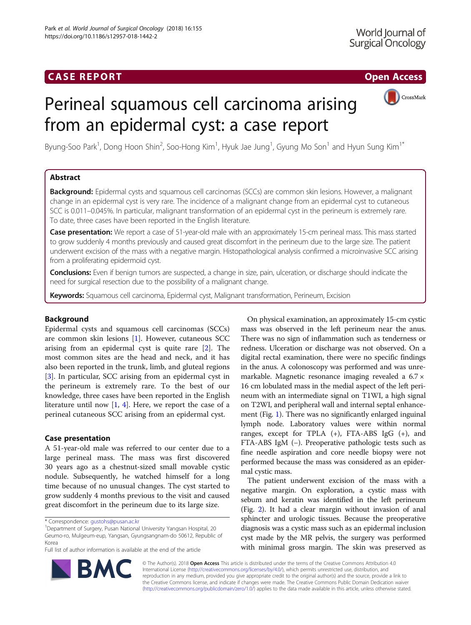

# Perineal squamous cell carcinoma arising from an epidermal cyst: a case report

Byung-Soo Park<sup>1</sup>, Dong Hoon Shin<sup>2</sup>, Soo-Hong Kim<sup>1</sup>, Hyuk Jae Jung<sup>1</sup>, Gyung Mo Son<sup>1</sup> and Hyun Sung Kim<sup>1\*</sup>

# Abstract

Background: Epidermal cysts and squamous cell carcinomas (SCCs) are common skin lesions. However, a malignant change in an epidermal cyst is very rare. The incidence of a malignant change from an epidermal cyst to cutaneous SCC is 0.011–0.045%. In particular, malignant transformation of an epidermal cyst in the perineum is extremely rare. To date, three cases have been reported in the English literature.

Case presentation: We report a case of 51-year-old male with an approximately 15-cm perineal mass. This mass started to grow suddenly 4 months previously and caused great discomfort in the perineum due to the large size. The patient underwent excision of the mass with a negative margin. Histopathological analysis confirmed a microinvasive SCC arising from a proliferating epidermoid cyst.

Conclusions: Even if benign tumors are suspected, a change in size, pain, ulceration, or discharge should indicate the need for surgical resection due to the possibility of a malignant change.

Keywords: Squamous cell carcinoma, Epidermal cyst, Malignant transformation, Perineum, Excision

# Background

Epidermal cysts and squamous cell carcinomas (SCCs) are common skin lesions [\[1\]](#page-2-0). However, cutaneous SCC arising from an epidermal cyst is quite rare [[2\]](#page-2-0). The most common sites are the head and neck, and it has also been reported in the trunk, limb, and gluteal regions [[3\]](#page-2-0). In particular, SCC arising from an epidermal cyst in the perineum is extremely rare. To the best of our knowledge, three cases have been reported in the English literature until now  $[1, 4]$  $[1, 4]$  $[1, 4]$ . Here, we report the case of a perineal cutaneous SCC arising from an epidermal cyst.

# Case presentation

A 51-year-old male was referred to our center due to a large perineal mass. The mass was first discovered 30 years ago as a chestnut-sized small movable cystic nodule. Subsequently, he watched himself for a long time because of no unusual changes. The cyst started to grow suddenly 4 months previous to the visit and caused great discomfort in the perineum due to its large size.

<sup>1</sup>Department of Surgery, Pusan National University Yangsan Hospital, 20 Geumo-ro, Mulgeum-eup, Yangsan, Gyungsangnam-do 50612, Republic of Korea

Full list of author information is available at the end of the article



The patient underwent excision of the mass with a negative margin. On exploration, a cystic mass with sebum and keratin was identified in the left perineum (Fig. [2](#page-1-0)). It had a clear margin without invasion of anal sphincter and urologic tissues. Because the preoperative diagnosis was a cystic mass such as an epidermal inclusion cyst made by the MR pelvis, the surgery was performed with minimal gross margin. The skin was preserved as



© The Author(s). 2018 Open Access This article is distributed under the terms of the Creative Commons Attribution 4.0 International License [\(http://creativecommons.org/licenses/by/4.0/](http://creativecommons.org/licenses/by/4.0/)), which permits unrestricted use, distribution, and reproduction in any medium, provided you give appropriate credit to the original author(s) and the source, provide a link to the Creative Commons license, and indicate if changes were made. The Creative Commons Public Domain Dedication waiver [\(http://creativecommons.org/publicdomain/zero/1.0/](http://creativecommons.org/publicdomain/zero/1.0/)) applies to the data made available in this article, unless otherwise stated.

<sup>\*</sup> Correspondence: [gustohs@pusan.ac.kr](mailto:gustohs@pusan.ac.kr) <sup>1</sup>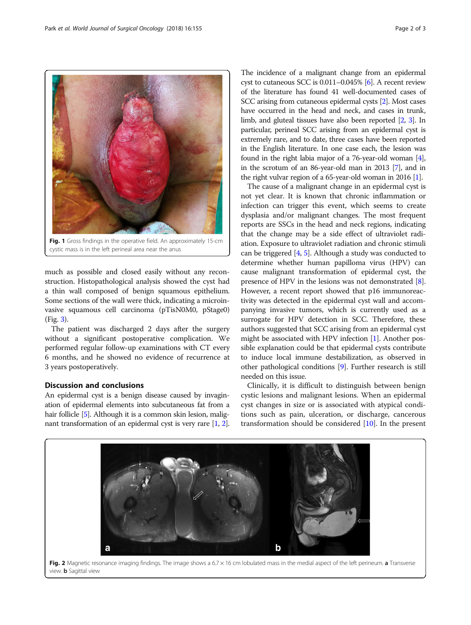<span id="page-1-0"></span>

much as possible and closed easily without any reconstruction. Histopathological analysis showed the cyst had a thin wall composed of benign squamous epithelium. Some sections of the wall were thick, indicating a microinvasive squamous cell carcinoma (pTisN0M0, pStage0) (Fig. [3](#page-2-0)).

The patient was discharged 2 days after the surgery without a significant postoperative complication. We performed regular follow-up examinations with CT every 6 months, and he showed no evidence of recurrence at 3 years postoperatively.

# Discussion and conclusions

An epidermal cyst is a benign disease caused by invagination of epidermal elements into subcutaneous fat from a hair follicle [\[5](#page-2-0)]. Although it is a common skin lesion, malignant transformation of an epidermal cyst is very rare [\[1,](#page-2-0) [2](#page-2-0)].

The incidence of a malignant change from an epidermal cyst to cutaneous SCC is 0.011–0.045% [\[6\]](#page-2-0). A recent review of the literature has found 41 well-documented cases of SCC arising from cutaneous epidermal cysts [\[2\]](#page-2-0). Most cases have occurred in the head and neck, and cases in trunk, limb, and gluteal tissues have also been reported [[2](#page-2-0), [3\]](#page-2-0). In particular, perineal SCC arising from an epidermal cyst is extremely rare, and to date, three cases have been reported in the English literature. In one case each, the lesion was found in the right labia major of a 76-year-old woman [[4](#page-2-0)], in the scrotum of an 86-year-old man in 2013 [\[7\]](#page-2-0), and in the right vulvar region of a 65-year-old woman in 2016 [\[1\]](#page-2-0).

The cause of a malignant change in an epidermal cyst is not yet clear. It is known that chronic inflammation or infection can trigger this event, which seems to create dysplasia and/or malignant changes. The most frequent reports are SSCs in the head and neck regions, indicating that the change may be a side effect of ultraviolet radiation. Exposure to ultraviolet radiation and chronic stimuli can be triggered [[4,](#page-2-0) [5](#page-2-0)]. Although a study was conducted to determine whether human papilloma virus (HPV) can cause malignant transformation of epidermal cyst, the presence of HPV in the lesions was not demonstrated [[8](#page-2-0)]. However, a recent report showed that p16 immunoreactivity was detected in the epidermal cyst wall and accompanying invasive tumors, which is currently used as a surrogate for HPV detection in SCC. Therefore, these authors suggested that SCC arising from an epidermal cyst might be associated with HPV infection [[1](#page-2-0)]. Another possible explanation could be that epidermal cysts contribute to induce local immune destabilization, as observed in other pathological conditions [\[9](#page-2-0)]. Further research is still needed on this issue.

Clinically, it is difficult to distinguish between benign cystic lesions and malignant lesions. When an epidermal cyst changes in size or is associated with atypical conditions such as pain, ulceration, or discharge, cancerous transformation should be considered [\[10](#page-2-0)]. In the present



Fig. 2 Magnetic resonance imaging findings. The image shows a 6.7  $\times$  16 cm lobulated mass in the medial aspect of the left perineum. a Transverse view. **b** Sagittal view